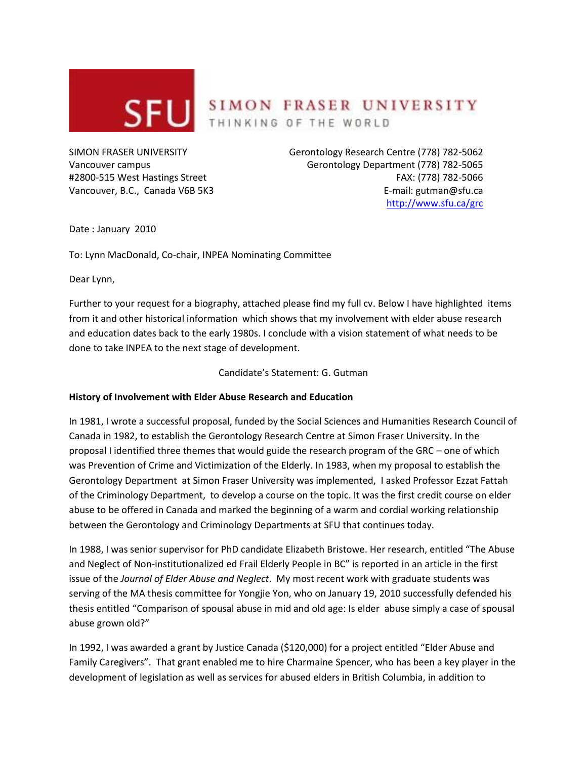## SFU SIMON FRASER UNIVERSITY

SIMON FRASER UNIVERSITY Gerontology Research Centre (778) 782-5062 Vancouver campus Gerontology Department (778) 782-5065 #2800-515 West Hastings Street FAX: (778) 782-5066 Vancouver, B.C., Canada V6B 5K3 E-mail: gutman@sfu.ca <http://www.sfu.ca/grc>

Date : January 2010

To: Lynn MacDonald, Co-chair, INPEA Nominating Committee

Dear Lynn,

Further to your request for a biography, attached please find my full cv. Below I have highlighted items from it and other historical information which shows that my involvement with elder abuse research and education dates back to the early 1980s. I conclude with a vision statement of what needs to be done to take INPEA to the next stage of development.

Candidate's Statement: G. Gutman

## **History of Involvement with Elder Abuse Research and Education**

In 1981, I wrote a successful proposal, funded by the Social Sciences and Humanities Research Council of Canada in 1982, to establish the Gerontology Research Centre at Simon Fraser University. In the proposal I identified three themes that would guide the research program of the GRC – one of which was Prevention of Crime and Victimization of the Elderly. In 1983, when my proposal to establish the Gerontology Department at Simon Fraser University was implemented, I asked Professor Ezzat Fattah of the Criminology Department, to develop a course on the topic. It was the first credit course on elder abuse to be offered in Canada and marked the beginning of a warm and cordial working relationship between the Gerontology and Criminology Departments at SFU that continues today.

In 1988, I was senior supervisor for PhD candidate Elizabeth Bristowe. Her research, entitled "The Abuse and Neglect of Non-institutionalized ed Frail Elderly People in BC" is reported in an article in the first issue of the *Journal of Elder Abuse and Neglect*. My most recent work with graduate students was serving of the MA thesis committee for Yongjie Yon, who on January 19, 2010 successfully defended his thesis entitled "Comparison of spousal abuse in mid and old age: Is elder abuse simply a case of spousal abuse grown old?"

In 1992, I was awarded a grant by Justice Canada (\$120,000) for a project entitled "Elder Abuse and Family Caregivers". That grant enabled me to hire Charmaine Spencer, who has been a key player in the development of legislation as well as services for abused elders in British Columbia, in addition to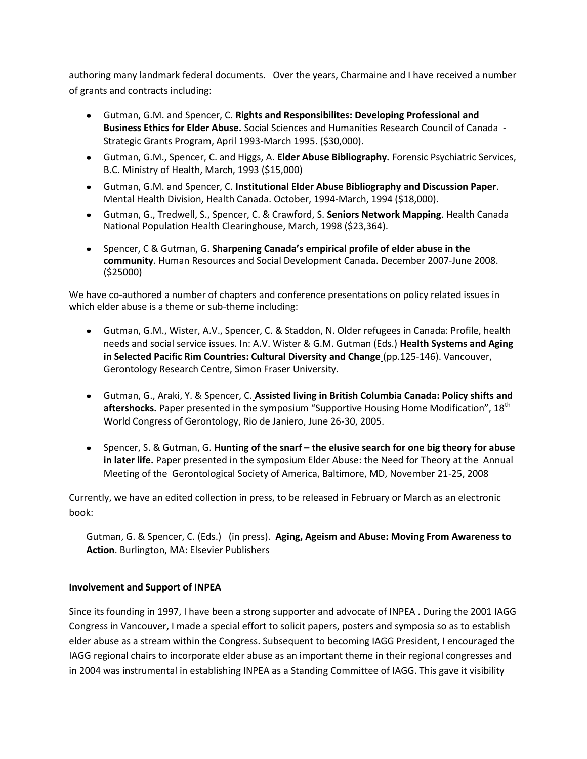authoring many landmark federal documents. Over the years, Charmaine and I have received a number of grants and contracts including:

- Gutman, G.M. and Spencer, C. **Rights and Responsibilites: Developing Professional and Business Ethics for Elder Abuse.** Social Sciences and Humanities Research Council of Canada - Strategic Grants Program, April 1993-March 1995. (\$30,000).
- Gutman, G.M., Spencer, C. and Higgs, A. **Elder Abuse Bibliography.** Forensic Psychiatric Services, B.C. Ministry of Health, March, 1993 (\$15,000)
- Gutman, G.M. and Spencer, C. **Institutional Elder Abuse Bibliography and Discussion Paper**. Mental Health Division, Health Canada. October, 1994-March, 1994 (\$18,000).
- Gutman, G., Tredwell, S., Spencer, C. & Crawford, S. **Seniors Network Mapping**. Health Canada National Population Health Clearinghouse, March, 1998 (\$23,364).
- Spencer, C & Gutman, G. **Sharpening Canada's empirical profile of elder abuse in the community**. Human Resources and Social Development Canada. December 2007-June 2008. (\$25000)

We have co-authored a number of chapters and conference presentations on policy related issues in which elder abuse is a theme or sub-theme including:

- $\bullet$ Gutman, G.M., Wister, A.V., Spencer, C. & Staddon, N. Older refugees in Canada: Profile, health needs and social service issues. In: A.V. Wister & G.M. Gutman (Eds.) **Health Systems and Aging in Selected Pacific Rim Countries: Cultural Diversity and Change** (pp.125-146). Vancouver, Gerontology Research Centre, Simon Fraser University.
- Gutman, G., Araki, Y. & Spencer, C. **Assisted living in British Columbia Canada: Policy shifts and**  aftershocks. Paper presented in the symposium "Supportive Housing Home Modification", 18<sup>th</sup> World Congress of Gerontology, Rio de Janiero, June 26-30, 2005.
- Spencer, S. & Gutman, G. **Hunting of the snarf – the elusive search for one big theory for abuse in later life.** Paper presented in the symposium Elder Abuse: the Need for Theory at the Annual Meeting of the Gerontological Society of America, Baltimore, MD, November 21-25, 2008

Currently, we have an edited collection in press, to be released in February or March as an electronic book:

Gutman, G. & Spencer, C. (Eds.) (in press). **Aging, Ageism and Abuse: Moving From Awareness to Action**. Burlington, MA: Elsevier Publishers

## **Involvement and Support of INPEA**

Since its founding in 1997, I have been a strong supporter and advocate of INPEA . During the 2001 IAGG Congress in Vancouver, I made a special effort to solicit papers, posters and symposia so as to establish elder abuse as a stream within the Congress. Subsequent to becoming IAGG President, I encouraged the IAGG regional chairs to incorporate elder abuse as an important theme in their regional congresses and in 2004 was instrumental in establishing INPEA as a Standing Committee of IAGG. This gave it visibility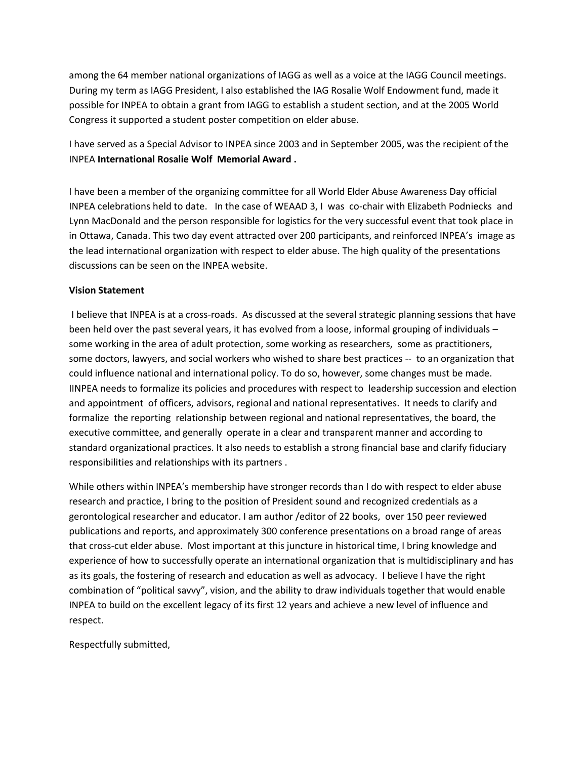among the 64 member national organizations of IAGG as well as a voice at the IAGG Council meetings. During my term as IAGG President, I also established the IAG Rosalie Wolf Endowment fund, made it possible for INPEA to obtain a grant from IAGG to establish a student section, and at the 2005 World Congress it supported a student poster competition on elder abuse.

I have served as a Special Advisor to INPEA since 2003 and in September 2005, was the recipient of the INPEA **International Rosalie Wolf Memorial Award .** 

I have been a member of the organizing committee for all World Elder Abuse Awareness Day official INPEA celebrations held to date. In the case of WEAAD 3, I was co-chair with Elizabeth Podniecks and Lynn MacDonald and the person responsible for logistics for the very successful event that took place in in Ottawa, Canada. This two day event attracted over 200 participants, and reinforced INPEA's image as the lead international organization with respect to elder abuse. The high quality of the presentations discussions can be seen on the INPEA website.

## **Vision Statement**

I believe that INPEA is at a cross-roads. As discussed at the several strategic planning sessions that have been held over the past several years, it has evolved from a loose, informal grouping of individuals – some working in the area of adult protection, some working as researchers, some as practitioners, some doctors, lawyers, and social workers who wished to share best practices -- to an organization that could influence national and international policy. To do so, however, some changes must be made. IINPEA needs to formalize its policies and procedures with respect to leadership succession and election and appointment of officers, advisors, regional and national representatives. It needs to clarify and formalize the reporting relationship between regional and national representatives, the board, the executive committee, and generally operate in a clear and transparent manner and according to standard organizational practices. It also needs to establish a strong financial base and clarify fiduciary responsibilities and relationships with its partners .

While others within INPEA's membership have stronger records than I do with respect to elder abuse research and practice, I bring to the position of President sound and recognized credentials as a gerontological researcher and educator. I am author /editor of 22 books, over 150 peer reviewed publications and reports, and approximately 300 conference presentations on a broad range of areas that cross-cut elder abuse. Most important at this juncture in historical time, I bring knowledge and experience of how to successfully operate an international organization that is multidisciplinary and has as its goals, the fostering of research and education as well as advocacy. I believe I have the right combination of "political savvy", vision, and the ability to draw individuals together that would enable INPEA to build on the excellent legacy of its first 12 years and achieve a new level of influence and respect.

Respectfully submitted,